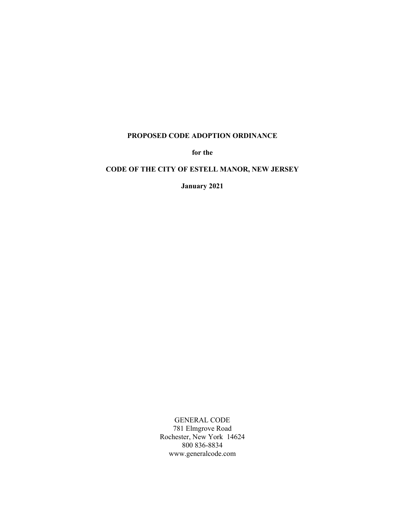# **PROPOSED CODE ADOPTION ORDINANCE**

**for the**

# **CODE OF THE CITY OF ESTELL MANOR, NEW JERSEY**

**January 2021**

GENERAL CODE 781 Elmgrove Road Rochester, New York 14624 800 836-8834 www.generalcode.com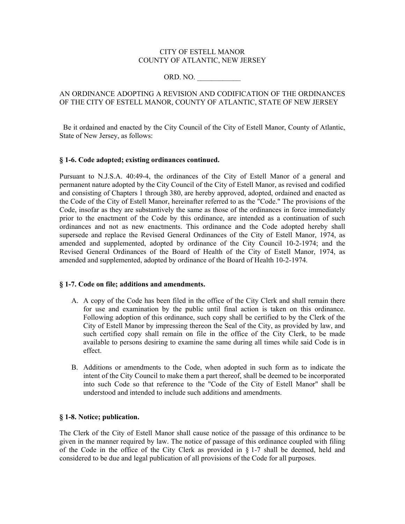#### CITY OF ESTELL MANOR COUNTY OF ATLANTIC, NEW JERSEY

# ORD. NO.

# AN ORDINANCE ADOPTING A REVISION AND CODIFICATION OF THE ORDINANCES OF THE CITY OF ESTELL MANOR, COUNTY OF ATLANTIC, STATE OF NEW JERSEY

 Be it ordained and enacted by the City Council of the City of Estell Manor, County of Atlantic, State of New Jersey, as follows:

### **§ 1-6. Code adopted; existing ordinances continued.**

Pursuant to N.J.S.A. 40:49-4, the ordinances of the City of Estell Manor of a general and permanent nature adopted by the City Council of the City of Estell Manor, as revised and codified and consisting of Chapters 1 through 380, are hereby approved, adopted, ordained and enacted as the Code of the City of Estell Manor, hereinafter referred to as the "Code." The provisions of the Code, insofar as they are substantively the same as those of the ordinances in force immediately prior to the enactment of the Code by this ordinance, are intended as a continuation of such ordinances and not as new enactments. This ordinance and the Code adopted hereby shall supersede and replace the Revised General Ordinances of the City of Estell Manor, 1974, as amended and supplemented, adopted by ordinance of the City Council 10-2-1974; and the Revised General Ordinances of the Board of Health of the City of Estell Manor, 1974, as amended and supplemented, adopted by ordinance of the Board of Health 10-2-1974.

#### **§ 1-7. Code on file; additions and amendments.**

- A. A copy of the Code has been filed in the office of the City Clerk and shall remain there for use and examination by the public until final action is taken on this ordinance. Following adoption of this ordinance, such copy shall be certified to by the Clerk of the City of Estell Manor by impressing thereon the Seal of the City, as provided by law, and such certified copy shall remain on file in the office of the City Clerk, to be made available to persons desiring to examine the same during all times while said Code is in effect.
- B. Additions or amendments to the Code, when adopted in such form as to indicate the intent of the City Council to make them a part thereof, shall be deemed to be incorporated into such Code so that reference to the "Code of the City of Estell Manor" shall be understood and intended to include such additions and amendments.

### **§ 1-8. Notice; publication.**

The Clerk of the City of Estell Manor shall cause notice of the passage of this ordinance to be given in the manner required by law. The notice of passage of this ordinance coupled with filing of the Code in the office of the City Clerk as provided in § 1-7 shall be deemed, held and considered to be due and legal publication of all provisions of the Code for all purposes.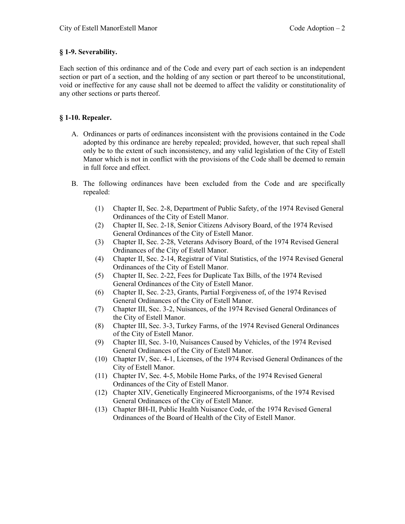# **§ 1-9. Severability.**

Each section of this ordinance and of the Code and every part of each section is an independent section or part of a section, and the holding of any section or part thereof to be unconstitutional, void or ineffective for any cause shall not be deemed to affect the validity or constitutionality of any other sections or parts thereof.

# **§ 1-10. Repealer.**

- A. Ordinances or parts of ordinances inconsistent with the provisions contained in the Code adopted by this ordinance are hereby repealed; provided, however, that such repeal shall only be to the extent of such inconsistency, and any valid legislation of the City of Estell Manor which is not in conflict with the provisions of the Code shall be deemed to remain in full force and effect.
- B. The following ordinances have been excluded from the Code and are specifically repealed:
	- (1) Chapter II, Sec. 2-8, Department of Public Safety, of the 1974 Revised General Ordinances of the City of Estell Manor.
	- (2) Chapter II, Sec. 2-18, Senior Citizens Advisory Board, of the 1974 Revised General Ordinances of the City of Estell Manor.
	- (3) Chapter II, Sec. 2-28, Veterans Advisory Board, of the 1974 Revised General Ordinances of the City of Estell Manor.
	- (4) Chapter II, Sec. 2-14, Registrar of Vital Statistics, of the 1974 Revised General Ordinances of the City of Estell Manor.
	- (5) Chapter II, Sec. 2-22, Fees for Duplicate Tax Bills, of the 1974 Revised General Ordinances of the City of Estell Manor.
	- (6) Chapter II, Sec. 2-23, Grants, Partial Forgiveness of, of the 1974 Revised General Ordinances of the City of Estell Manor.
	- (7) Chapter III, Sec. 3-2, Nuisances, of the 1974 Revised General Ordinances of the City of Estell Manor.
	- (8) Chapter III, Sec. 3-3, Turkey Farms, of the 1974 Revised General Ordinances of the City of Estell Manor.
	- (9) Chapter III, Sec. 3-10, Nuisances Caused by Vehicles, of the 1974 Revised General Ordinances of the City of Estell Manor.
	- (10) Chapter IV, Sec. 4-1, Licenses, of the 1974 Revised General Ordinances of the City of Estell Manor.
	- (11) Chapter IV, Sec. 4-5, Mobile Home Parks, of the 1974 Revised General Ordinances of the City of Estell Manor.
	- (12) Chapter XIV, Genetically Engineered Microorganisms, of the 1974 Revised General Ordinances of the City of Estell Manor.
	- (13) Chapter BH-II, Public Health Nuisance Code, of the 1974 Revised General Ordinances of the Board of Health of the City of Estell Manor.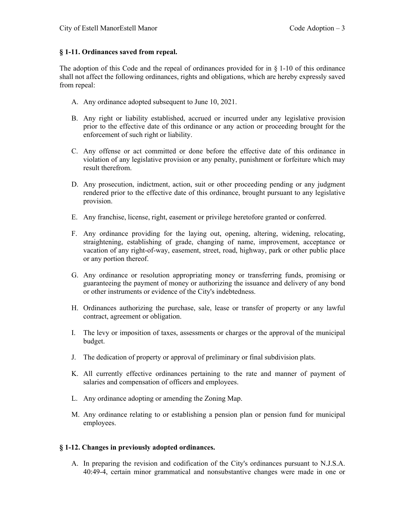# **§ 1-11. Ordinances saved from repeal.**

The adoption of this Code and the repeal of ordinances provided for in  $\S$  1-10 of this ordinance shall not affect the following ordinances, rights and obligations, which are hereby expressly saved from repeal:

- A. Any ordinance adopted subsequent to June 10, 2021.
- B. Any right or liability established, accrued or incurred under any legislative provision prior to the effective date of this ordinance or any action or proceeding brought for the enforcement of such right or liability.
- C. Any offense or act committed or done before the effective date of this ordinance in violation of any legislative provision or any penalty, punishment or forfeiture which may result therefrom.
- D. Any prosecution, indictment, action, suit or other proceeding pending or any judgment rendered prior to the effective date of this ordinance, brought pursuant to any legislative provision.
- E. Any franchise, license, right, easement or privilege heretofore granted or conferred.
- F. Any ordinance providing for the laying out, opening, altering, widening, relocating, straightening, establishing of grade, changing of name, improvement, acceptance or vacation of any right-of-way, easement, street, road, highway, park or other public place or any portion thereof.
- G. Any ordinance or resolution appropriating money or transferring funds, promising or guaranteeing the payment of money or authorizing the issuance and delivery of any bond or other instruments or evidence of the City's indebtedness.
- H. Ordinances authorizing the purchase, sale, lease or transfer of property or any lawful contract, agreement or obligation.
- I. The levy or imposition of taxes, assessments or charges or the approval of the municipal budget.
- J. The dedication of property or approval of preliminary or final subdivision plats.
- K. All currently effective ordinances pertaining to the rate and manner of payment of salaries and compensation of officers and employees.
- L. Any ordinance adopting or amending the Zoning Map.
- M. Any ordinance relating to or establishing a pension plan or pension fund for municipal employees.

### **§ 1-12. Changes in previously adopted ordinances.**

A. In preparing the revision and codification of the City's ordinances pursuant to N.J.S.A. 40:49-4, certain minor grammatical and nonsubstantive changes were made in one or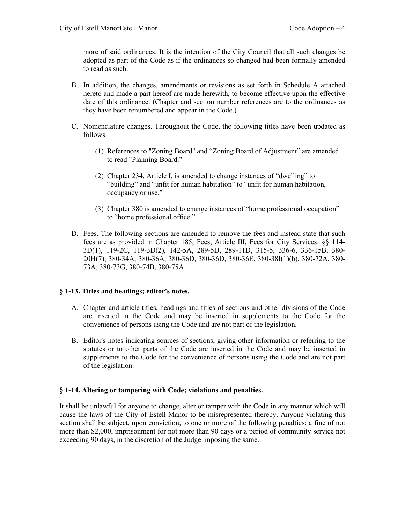more of said ordinances. It is the intention of the City Council that all such changes be adopted as part of the Code as if the ordinances so changed had been formally amended to read as such.

- B. In addition, the changes, amendments or revisions as set forth in Schedule A attached hereto and made a part hereof are made herewith, to become effective upon the effective date of this ordinance. (Chapter and section number references are to the ordinances as they have been renumbered and appear in the Code.)
- C. Nomenclature changes. Throughout the Code, the following titles have been updated as follows:
	- (1) References to "Zoning Board" and "Zoning Board of Adjustment" are amended to read "Planning Board."
	- (2) Chapter 234, Article I, is amended to change instances of "dwelling" to "building" and "unfit for human habitation" to "unfit for human habitation, occupancy or use."
	- (3) Chapter 380 is amended to change instances of "home professional occupation" to "home professional office."
- D. Fees. The following sections are amended to remove the fees and instead state that such fees are as provided in Chapter 185, Fees, Article III, Fees for City Services: §§ 114- 3D(1), 119-2C, 119-3D(2), 142-5A, 289-5D, 289-11D, 315-5, 336-6, 336-15B, 380- 20H(7), 380-34A, 380-36A, 380-36D, 380-36D, 380-36E, 380-38I(1)(b), 380-72A, 380- 73A, 380-73G, 380-74B, 380-75A.

### **§ 1-13. Titles and headings; editor's notes.**

- A. Chapter and article titles, headings and titles of sections and other divisions of the Code are inserted in the Code and may be inserted in supplements to the Code for the convenience of persons using the Code and are not part of the legislation.
- B. Editor's notes indicating sources of sections, giving other information or referring to the statutes or to other parts of the Code are inserted in the Code and may be inserted in supplements to the Code for the convenience of persons using the Code and are not part of the legislation.

### **§ 1-14. Altering or tampering with Code; violations and penalties.**

It shall be unlawful for anyone to change, alter or tamper with the Code in any manner which will cause the laws of the City of Estell Manor to be misrepresented thereby. Anyone violating this section shall be subject, upon conviction, to one or more of the following penalties: a fine of not more than \$2,000, imprisonment for not more than 90 days or a period of community service not exceeding 90 days, in the discretion of the Judge imposing the same.